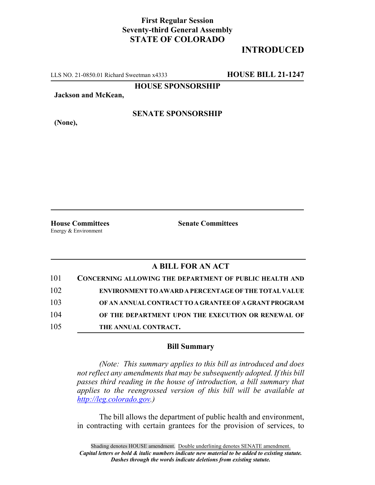## **First Regular Session Seventy-third General Assembly STATE OF COLORADO**

## **INTRODUCED**

LLS NO. 21-0850.01 Richard Sweetman x4333 **HOUSE BILL 21-1247**

**HOUSE SPONSORSHIP**

**Jackson and McKean,**

**(None),**

**SENATE SPONSORSHIP**

Energy & Environment

**House Committees Senate Committees**

## **A BILL FOR AN ACT**

| 101 | <b>CONCERNING ALLOWING THE DEPARTMENT OF PUBLIC HEALTH AND</b> |
|-----|----------------------------------------------------------------|
| 102 | <b>ENVIRONMENT TO AWARD A PERCENTAGE OF THE TOTAL VALUE</b>    |
| 103 | OF AN ANNUAL CONTRACT TO A GRANTEE OF A GRANT PROGRAM          |
| 104 | OF THE DEPARTMENT UPON THE EXECUTION OR RENEWAL OF             |
| 105 | THE ANNUAL CONTRACT.                                           |

## **Bill Summary**

*(Note: This summary applies to this bill as introduced and does not reflect any amendments that may be subsequently adopted. If this bill passes third reading in the house of introduction, a bill summary that applies to the reengrossed version of this bill will be available at http://leg.colorado.gov.)*

The bill allows the department of public health and environment, in contracting with certain grantees for the provision of services, to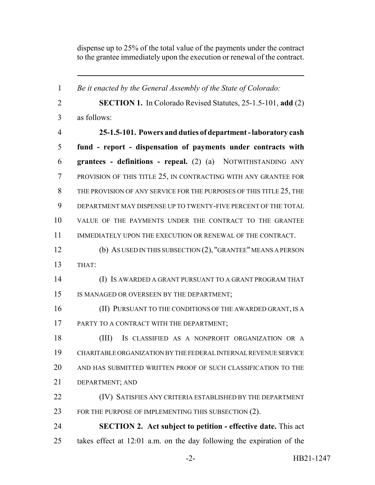dispense up to 25% of the total value of the payments under the contract to the grantee immediately upon the execution or renewal of the contract.

 *Be it enacted by the General Assembly of the State of Colorado:* **SECTION 1.** In Colorado Revised Statutes, 25-1.5-101, **add** (2) as follows: **25-1.5-101. Powers and duties of department - laboratory cash fund - report - dispensation of payments under contracts with grantees - definitions - repeal.** (2) (a) NOTWITHSTANDING ANY PROVISION OF THIS TITLE 25, IN CONTRACTING WITH ANY GRANTEE FOR 8 THE PROVISION OF ANY SERVICE FOR THE PURPOSES OF THIS TITLE 25, THE DEPARTMENT MAY DISPENSE UP TO TWENTY-FIVE PERCENT OF THE TOTAL VALUE OF THE PAYMENTS UNDER THE CONTRACT TO THE GRANTEE IMMEDIATELY UPON THE EXECUTION OR RENEWAL OF THE CONTRACT. (b) AS USED IN THIS SUBSECTION (2), "GRANTEE" MEANS A PERSON THAT: (I) IS AWARDED A GRANT PURSUANT TO A GRANT PROGRAM THAT IS MANAGED OR OVERSEEN BY THE DEPARTMENT; 16 (II) PURSUANT TO THE CONDITIONS OF THE AWARDED GRANT, IS A 17 PARTY TO A CONTRACT WITH THE DEPARTMENT; (III) IS CLASSIFIED AS A NONPROFIT ORGANIZATION OR A CHARITABLE ORGANIZATION BY THE FEDERAL INTERNAL REVENUE SERVICE AND HAS SUBMITTED WRITTEN PROOF OF SUCH CLASSIFICATION TO THE DEPARTMENT; AND (IV) SATISFIES ANY CRITERIA ESTABLISHED BY THE DEPARTMENT 23 FOR THE PURPOSE OF IMPLEMENTING THIS SUBSECTION (2). **SECTION 2. Act subject to petition - effective date.** This act takes effect at 12:01 a.m. on the day following the expiration of the